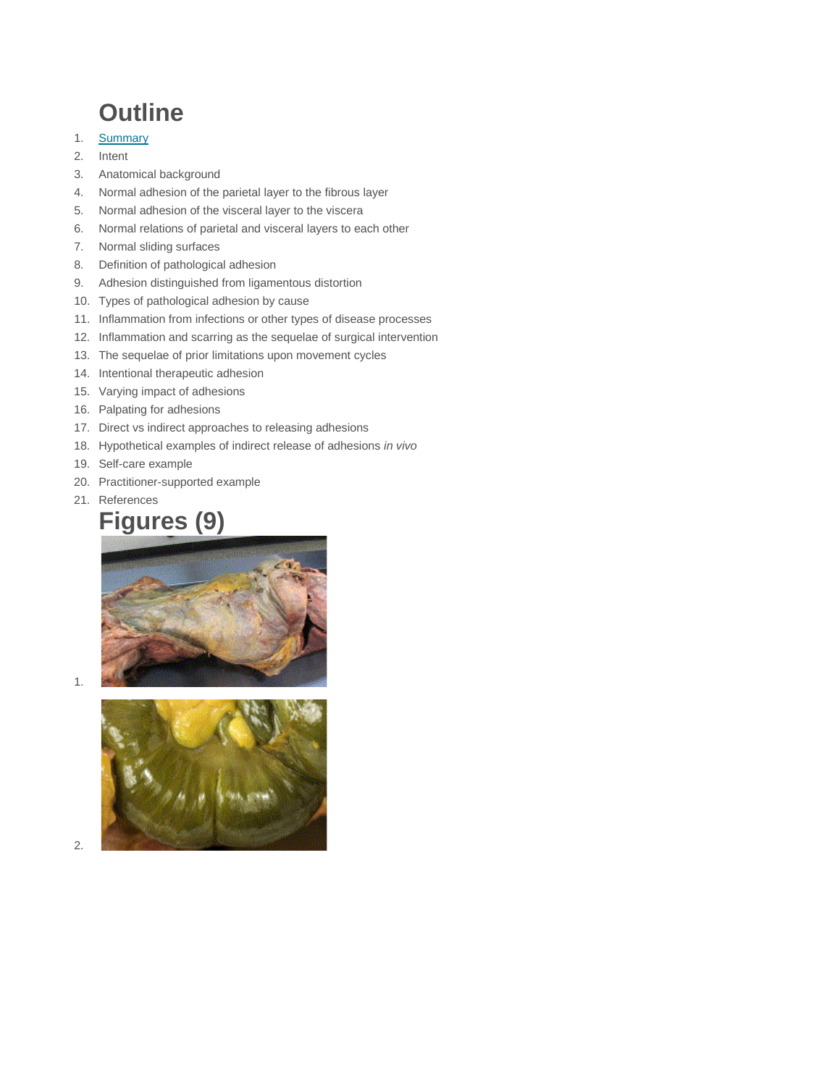## **Outline**

- 1. [Summary](https://www.sciencedirect.com/science/article/abs/pii/S1360859209001296%23aep-abstract-id10)
- 2. Intent
- 3. Anatomical background
- 4. Normal adhesion of the parietal layer to the fibrous layer
- 5. Normal adhesion of the visceral layer to the viscera
- 6. Normal relations of parietal and visceral layers to each other
- 7. Normal sliding surfaces
- 8. Definition of pathological adhesion
- 9. Adhesion distinguished from ligamentous distortion
- 10. Types of pathological adhesion by cause
- 11. Inflammation from infections or other types of disease processes
- 12. Inflammation and scarring as the sequelae of surgical intervention
- 13. The sequelae of prior limitations upon movement cycles
- 14. Intentional therapeutic adhesion
- 15. Varying impact of adhesions
- 16. Palpating for adhesions
- 17. Direct vs indirect approaches to releasing adhesions
- 18. Hypothetical examples of indirect release of adhesions *in vivo*
- 19. Self-care example
- 20. Practitioner-supported example
- 21. References

### **Figures (9)**



1.



2.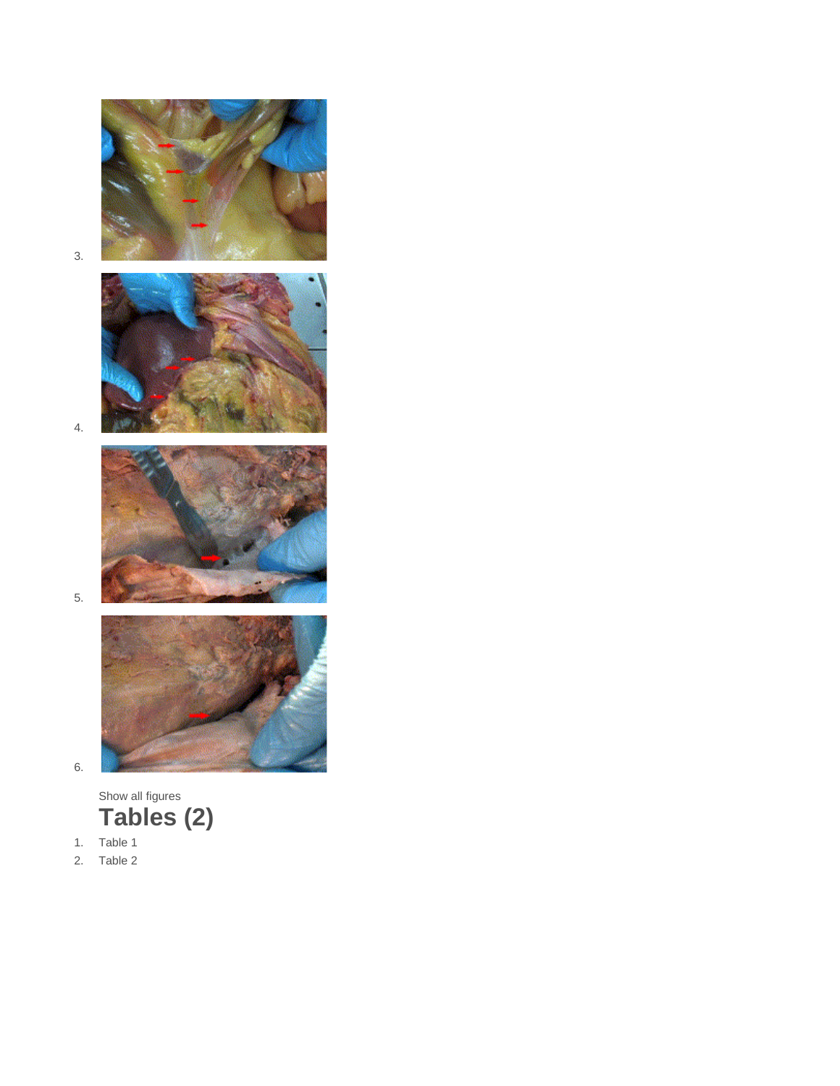

3.



4.



5.



6.

Show all figures **Tables (2)**

- 1. Table 1
- 2. Table 2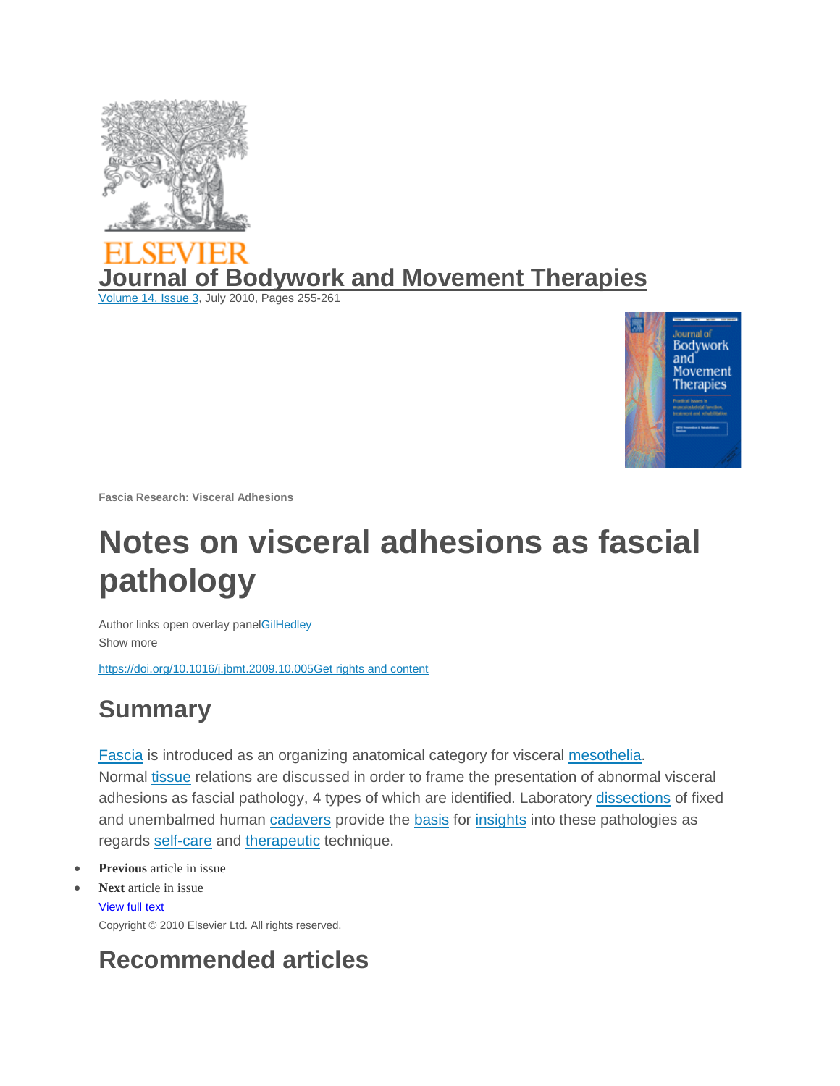

# **of Bodywork and Movement Therapies**

[Volume 14, Issue 3,](https://www.sciencedirect.com/science/journal/13608592/14/3) July 2010, Pages 255-261



**Fascia Research: Visceral Adhesions**

## **Notes on visceral adhesions as fascial pathology**

Author links open overlay pan[elGilHedley](https://www.sciencedirect.com/science/article/abs/pii/S1360859209001296%23!) Show more

[https://doi.org/10.1016/j.jbmt.2009.10.005Get rights and content](https://doi.org/10.1016/j.jbmt.2009.10.005)

### **Summary**

[Fascia](https://www.sciencedirect.com/topics/medicine-and-dentistry/fascia) is introduced as an organizing anatomical category for visceral [mesothelia.](https://www.sciencedirect.com/topics/medicine-and-dentistry/mesothelium) Normal [tissue](https://www.sciencedirect.com/topics/medicine-and-dentistry/tissues) relations are discussed in order to frame the presentation of abnormal visceral adhesions as fascial pathology, 4 types of which are identified. Laboratory [dissections](https://www.sciencedirect.com/topics/medicine-and-dentistry/dissection) of fixed and unembalmed human [cadavers](https://www.sciencedirect.com/topics/medicine-and-dentistry/cadaver) provide the [basis](https://www.sciencedirect.com/topics/medicine-and-dentistry/base) for [insights](https://www.sciencedirect.com/topics/medicine-and-dentistry/introspection) into these pathologies as regards [self-care](https://www.sciencedirect.com/topics/nursing-and-health-professions/self-care) and [therapeutic](https://www.sciencedirect.com/topics/medicine-and-dentistry/combination-therapy) technique.

- **[Previous](https://www.sciencedirect.com/science/article/pii/S1360859209000473)** article in issue
- **Next** article [in issue](https://www.sciencedirect.com/science/article/pii/S1360859209001648)

[View full text](https://www.sciencedirect.com/science/article/pii/S1360859209001296) Copyright © 2010 Elsevier Ltd. All rights reserved.

### **Recommended articles**